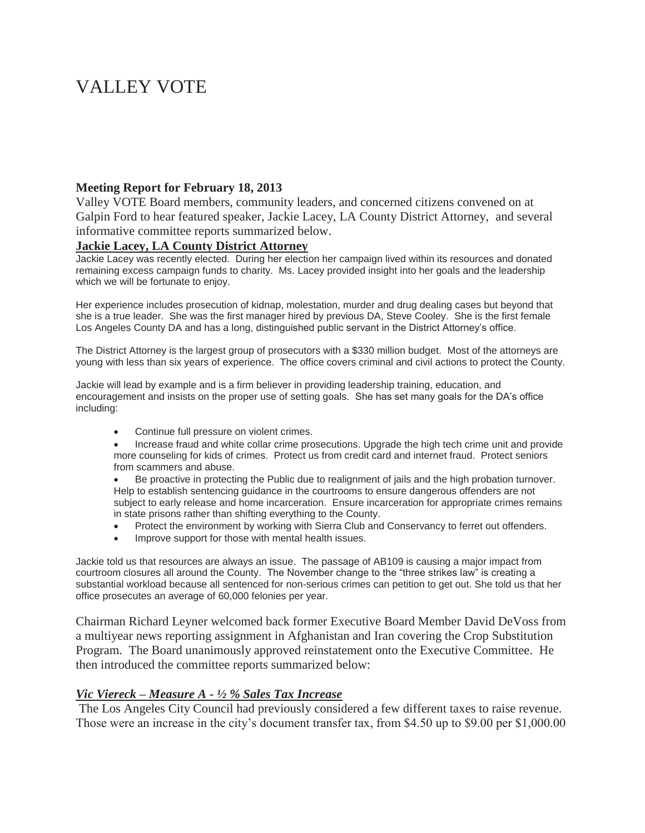# VALLEY VOTE

### **Meeting Report for February 18, 2013**

Valley VOTE Board members, community leaders, and concerned citizens convened on at Galpin Ford to hear featured speaker, Jackie Lacey, LA County District Attorney, and several informative committee reports summarized below.

#### **Jackie Lacey, LA County District Attorney**

Jackie Lacey was recently elected. During her election her campaign lived within its resources and donated remaining excess campaign funds to charity. Ms. Lacey provided insight into her goals and the leadership which we will be fortunate to enjoy.

Her experience includes prosecution of kidnap, molestation, murder and drug dealing cases but beyond that she is a true leader. She was the first manager hired by previous DA, Steve Cooley. She is the first female Los Angeles County DA and has a long, distinguished public servant in the District Attorney's office.

The District Attorney is the largest group of prosecutors with a \$330 million budget. Most of the attorneys are young with less than six years of experience. The office covers criminal and civil actions to protect the County.

Jackie will lead by example and is a firm believer in providing leadership training, education, and encouragement and insists on the proper use of setting goals. She has set many goals for the DA's office including:

- Continue full pressure on violent crimes.
- Increase fraud and white collar crime prosecutions. Upgrade the high tech crime unit and provide more counseling for kids of crimes. Protect us from credit card and internet fraud. Protect seniors from scammers and abuse.

 Be proactive in protecting the Public due to realignment of jails and the high probation turnover. Help to establish sentencing guidance in the courtrooms to ensure dangerous offenders are not subject to early release and home incarceration. Ensure incarceration for appropriate crimes remains in state prisons rather than shifting everything to the County.

- Protect the environment by working with Sierra Club and Conservancy to ferret out offenders.
- Improve support for those with mental health issues.

Jackie told us that resources are always an issue. The passage of AB109 is causing a major impact from courtroom closures all around the County. The November change to the "three strikes law" is creating a substantial workload because all sentenced for non-serious crimes can petition to get out. She told us that her office prosecutes an average of 60,000 felonies per year.

Chairman Richard Leyner welcomed back former Executive Board Member David DeVoss from a multiyear news reporting assignment in Afghanistan and Iran covering the Crop Substitution Program. The Board unanimously approved reinstatement onto the Executive Committee. He then introduced the committee reports summarized below:

#### *Vic Viereck – Measure A - ½ % Sales Tax Increase*

The Los Angeles City Council had previously considered a few different taxes to raise revenue. Those were an increase in the city's document transfer tax, from \$4.50 up to \$9.00 per \$1,000.00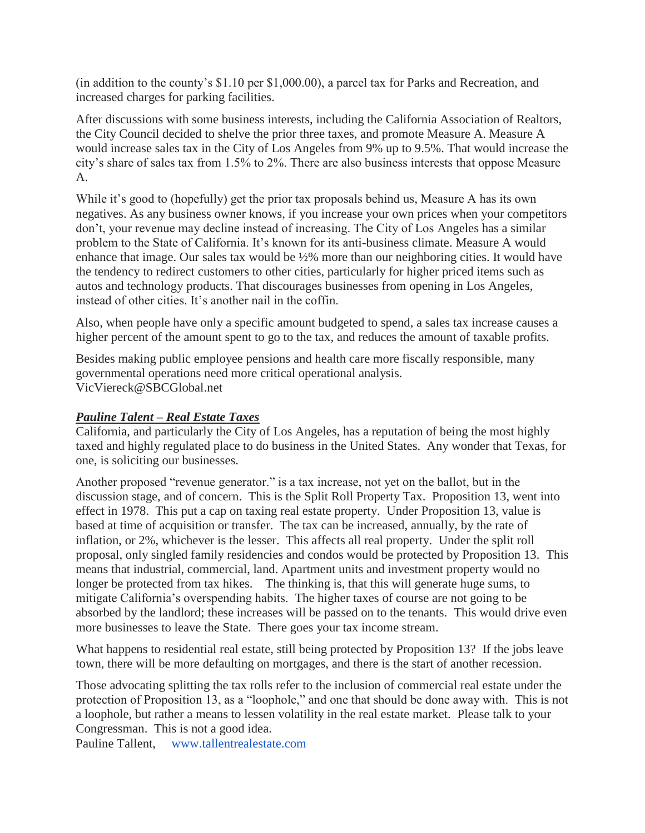(in addition to the county's \$1.10 per \$1,000.00), a parcel tax for Parks and Recreation, and increased charges for parking facilities.

After discussions with some business interests, including the California Association of Realtors, the City Council decided to shelve the prior three taxes, and promote Measure A. Measure A would increase sales tax in the City of Los Angeles from 9% up to 9.5%. That would increase the city's share of sales tax from 1.5% to 2%. There are also business interests that oppose Measure A.

While it's good to (hopefully) get the prior tax proposals behind us, Measure A has its own negatives. As any business owner knows, if you increase your own prices when your competitors don't, your revenue may decline instead of increasing. The City of Los Angeles has a similar problem to the State of California. It's known for its anti-business climate. Measure A would enhance that image. Our sales tax would be ½% more than our neighboring cities. It would have the tendency to redirect customers to other cities, particularly for higher priced items such as autos and technology products. That discourages businesses from opening in Los Angeles, instead of other cities. It's another nail in the coffin.

Also, when people have only a specific amount budgeted to spend, a sales tax increase causes a higher percent of the amount spent to go to the tax, and reduces the amount of taxable profits.

Besides making public employee pensions and health care more fiscally responsible, many governmental operations need more critical operational analysis. VicViereck@SBCGlobal.net

## *Pauline Talent – Real Estate Taxes*

California, and particularly the City of Los Angeles, has a reputation of being the most highly taxed and highly regulated place to do business in the United States. Any wonder that Texas, for one, is soliciting our businesses.

Another proposed "revenue generator." is a tax increase, not yet on the ballot, but in the discussion stage, and of concern. This is the Split Roll Property Tax. Proposition 13, went into effect in 1978. This put a cap on taxing real estate property. Under Proposition 13, value is based at time of acquisition or transfer. The tax can be increased, annually, by the rate of inflation, or 2%, whichever is the lesser. This affects all real property. Under the split roll proposal, only singled family residencies and condos would be protected by Proposition 13. This means that industrial, commercial, land. Apartment units and investment property would no longer be protected from tax hikes. The thinking is, that this will generate huge sums, to mitigate California's overspending habits. The higher taxes of course are not going to be absorbed by the landlord; these increases will be passed on to the tenants. This would drive even more businesses to leave the State. There goes your tax income stream.

What happens to residential real estate, still being protected by Proposition 13? If the jobs leave town, there will be more defaulting on mortgages, and there is the start of another recession.

Those advocating splitting the tax rolls refer to the inclusion of commercial real estate under the protection of Proposition 13, as a "loophole," and one that should be done away with. This is not a loophole, but rather a means to lessen volatility in the real estate market. Please talk to your Congressman. This is not a good idea.

Pauline Tallent, [www.tallentrealestate.com](http://www.tallentrealestat.com/)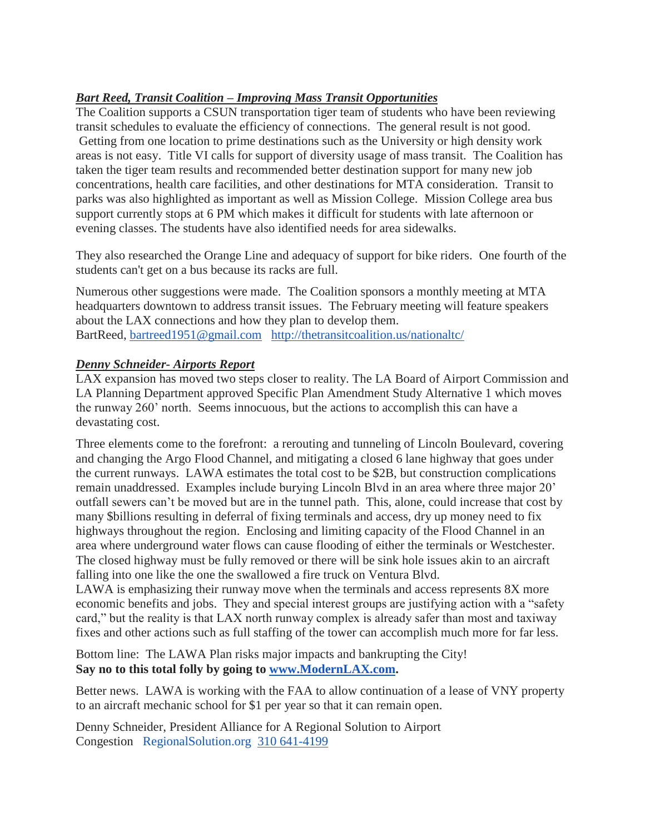# *Bart Reed, Transit Coalition – Improving Mass Transit Opportunities*

The Coalition supports a CSUN transportation tiger team of students who have been reviewing transit schedules to evaluate the efficiency of connections. The general result is not good. Getting from one location to prime destinations such as the University or high density work areas is not easy. Title VI calls for support of diversity usage of mass transit. The Coalition has taken the tiger team results and recommended better destination support for many new job concentrations, health care facilities, and other destinations for MTA consideration. Transit to parks was also highlighted as important as well as Mission College. Mission College area bus support currently stops at 6 PM which makes it difficult for students with late afternoon or evening classes. The students have also identified needs for area sidewalks.

They also researched the Orange Line and adequacy of support for bike riders. One fourth of the students can't get on a bus because its racks are full.

Numerous other suggestions were made. The Coalition sponsors a monthly meeting at MTA headquarters downtown to address transit issues. The February meeting will feature speakers about the LAX connections and how they plan to develop them. BartReed, [bartreed1951@gmail.com](mailto:bartreed1951@gmail.com) <http://thetransitcoalition.us/nationaltc/>

## *Denny Schneider- Airports Report*

LAX expansion has moved two steps closer to reality. The LA Board of Airport Commission and LA Planning Department approved Specific Plan Amendment Study Alternative 1 which moves the runway 260' north. Seems innocuous, but the actions to accomplish this can have a devastating cost.

Three elements come to the forefront: a rerouting and tunneling of Lincoln Boulevard, covering and changing the Argo Flood Channel, and mitigating a closed 6 lane highway that goes under the current runways. LAWA estimates the total cost to be \$2B, but construction complications remain unaddressed. Examples include burying Lincoln Blvd in an area where three major 20' outfall sewers can't be moved but are in the tunnel path. This, alone, could increase that cost by many \$billions resulting in deferral of fixing terminals and access, dry up money need to fix highways throughout the region. Enclosing and limiting capacity of the Flood Channel in an area where underground water flows can cause flooding of either the terminals or Westchester. The closed highway must be fully removed or there will be sink hole issues akin to an aircraft falling into one like the one the swallowed a fire truck on Ventura Blvd.

LAWA is emphasizing their runway move when the terminals and access represents 8X more economic benefits and jobs. They and special interest groups are justifying action with a "safety card," but the reality is that LAX north runway complex is already safer than most and taxiway fixes and other actions such as full staffing of the tower can accomplish much more for far less.

Bottom line: The LAWA Plan risks major impacts and bankrupting the City! **Say no to this total folly by going to [www.ModernLAX.com.](http://www.modernlax.com/)**

Better news. LAWA is working with the FAA to allow continuation of a lease of VNY property to an aircraft mechanic school for \$1 per year so that it can remain open.

Denny Schneider, President Alliance for A Regional Solution to Airport Congestion [RegionalSolution.org](http://www.regionalsolution.org/) [310 641-4199](tel:310%20641-4199)